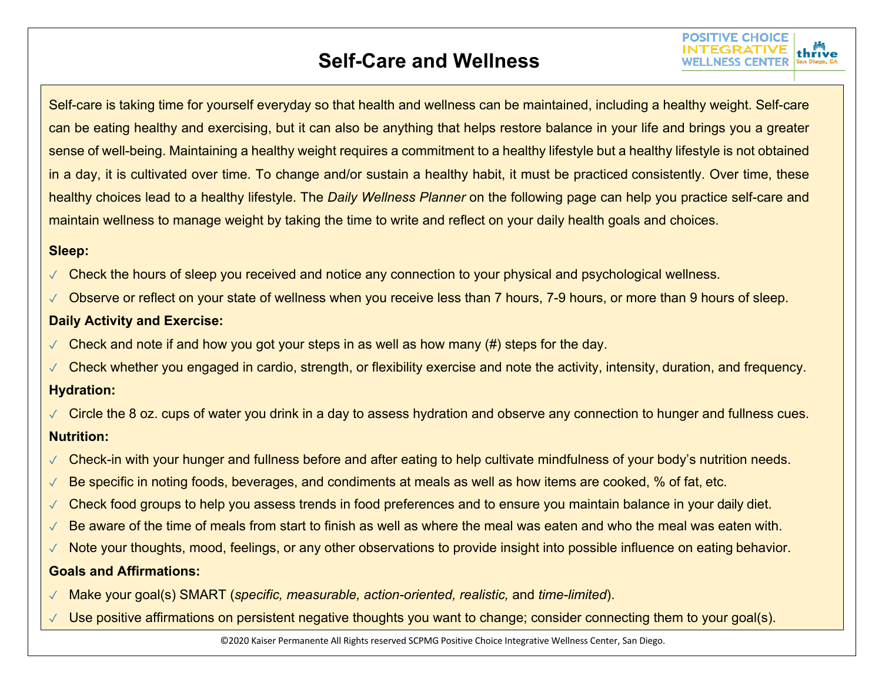## **Self-Care and Wellness**

**POSITIVE CHOICE INTEGRATIVE** 

thrive

Self-care is taking time for yourself everyday so that health and wellness can be maintained, including a healthy weight. Self-care can be eating healthy and exercising, but it can also be anything that helps restore balance in your life and brings you a greater sense of well-being. Maintaining a healthy weight requires a commitment to a healthy lifestyle but a healthy lifestyle is not obtained in a day, it is cultivated over time. To change and/or sustain a healthy habit, it must be practiced consistently. Over time, these healthy choices lead to a healthy lifestyle. The *Daily Wellness Planner* on the following page can help you practice self-care and maintain wellness to manage weight by taking the time to write and reflect on your daily health goals and choices.

## **Sleep:**

- ✓ Check the hours of sleep you received and notice any connection to your physical and psychological wellness.
- ✓ Observe or reflect on your state of wellness when you receive less than 7 hours, 7-9 hours, or more than 9 hours of sleep.

## **Daily Activity and Exercise:**

- $\sqrt{2}$  Check and note if and how you got your steps in as well as how many (#) steps for the day.
- ✓ Check whether you engaged in cardio, strength, or flexibility exercise and note the activity, intensity, duration, and frequency. **Hydration:**
- ✓ Circle the 8 oz. cups of water you drink in a day to assess hydration and observe any connection to hunger and fullness cues. **Nutrition:**
- ✓ Check-in with your hunger and fullness before and after eating to help cultivate mindfulness of your body's nutrition needs.
- ✓ Be specific in noting foods, beverages, and condiments at meals as well as how items are cooked, % of fat, etc.
- ✓ Check food groups to help you assess trends in food preferences and to ensure you maintain balance in your daily diet.
- ✓ Be aware of the time of meals from start to finish as well as where the meal was eaten and who the meal was eaten with.
- ✓ Note your thoughts, mood, feelings, or any other observations to provide insight into possible influence on eating behavior.

## **Goals and Affirmations:**

- ✓ Make your goal(s) SMART (*specific, measurable, action-oriented, realistic,* and *time-limited*).
- Use positive affirmations on persistent negative thoughts you want to change; consider connecting them to your goal(s).